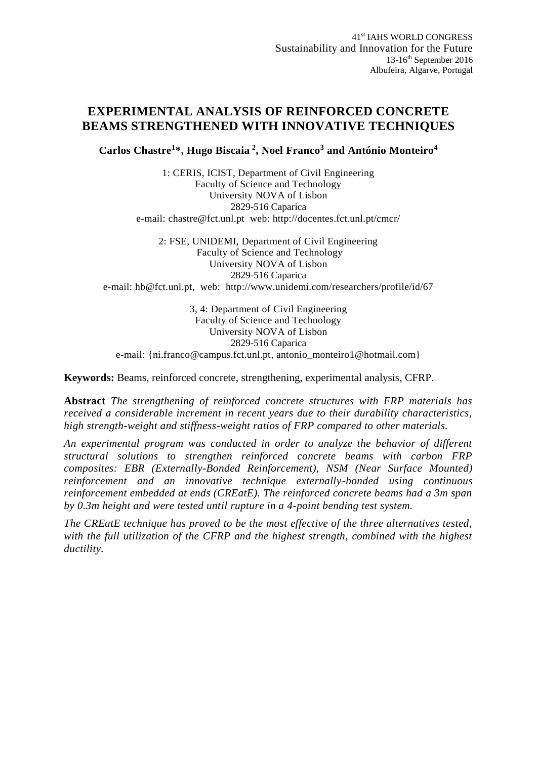## **EXPERIMENTAL ANALYSIS OF REINFORCED CONCRETE BEAMS STRENGTHENED WITH INNOVATIVE TECHNIQUES**

**Carlos Chastre<sup>1</sup>\*, Hugo Biscaia <sup>2</sup> , Noel Franco<sup>3</sup> and António Monteiro<sup>4</sup>**

1: CERIS, ICIST, Department of Civil Engineering Faculty of Science and Technology University NOVA of Lisbon 2829-516 Caparica e-mail: [chastre@fct.unl.pt](mailto:chastre@fct.unl.pt) web:<http://docentes.fct.unl.pt/cmcr/>

2: FSE, UNIDEMI, Department of Civil Engineering Faculty of Science and Technology University NOVA of Lisbon 2829-516 Caparica e-mail: [hb@fct.unl.pt,](mailto:hb@fct.unl.pt) web: <http://www.unidemi.com/researchers/profile/id/67>

3, 4: Department of Civil Engineering Faculty of Science and Technology University NOVA of Lisbon 2829-516 Caparica e-mail: [{ni.franco@campus.fct.unl.pt,](mailto:ni.franco,%20%7d@campus.fct.unl.pt) antonio\_monteiro1@hotmail.com}

**Keywords:** Beams, reinforced concrete, strengthening, experimental analysis, CFRP.

**Abstract** *The strengthening of reinforced concrete structures with FRP materials has received a considerable increment in recent years due to their durability characteristics, high strength-weight and stiffness-weight ratios of FRP compared to other materials.*

*An experimental program was conducted in order to analyze the behavior of different structural solutions to strengthen reinforced concrete beams with carbon FRP composites: EBR (Externally-Bonded Reinforcement), NSM (Near Surface Mounted) reinforcement and an innovative technique externally-bonded using continuous reinforcement embedded at ends (CREatE). The reinforced concrete beams had a 3m span by 0.3m height and were tested until rupture in a 4-point bending test system.*

*The CREatE technique has proved to be the most effective of the three alternatives tested, with the full utilization of the CFRP and the highest strength, combined with the highest ductility.*